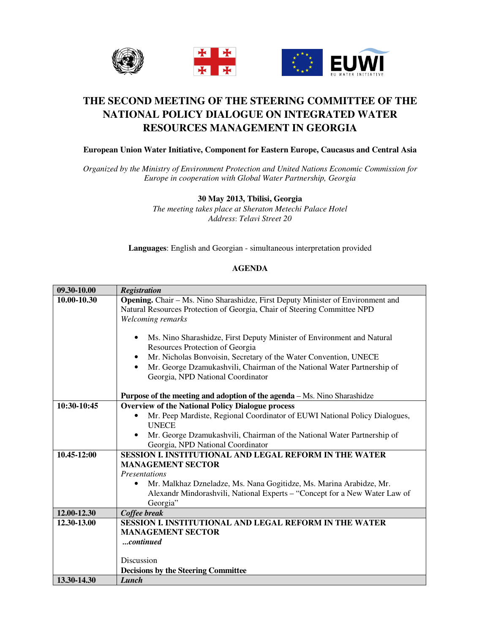

## **THE SECOND MEETING OF THE STEERING COMMITTEE OF THE NATIONAL POLICY DIALOGUE ON INTEGRATED WATER RESOURCES MANAGEMENT IN GEORGIA**

## **European Union Water Initiative, Component for Eastern Europe, Caucasus and Central Asia**

*Organized by the Ministry of Environment Protection and United Nations Economic Commission for Europe in cooperation with Global Water Partnership, Georgia* 

## **30 May 2013, Tbilisi, Georgia**

*The meeting takes place at Sheraton Metechi Palace Hotel Address*: *Telavi Street 20* 

**Languages**: English and Georgian - simultaneous interpretation provided

## **AGENDA**

| 09.30-10.00 | <b>Registration</b>                                                                                                                                                                           |
|-------------|-----------------------------------------------------------------------------------------------------------------------------------------------------------------------------------------------|
| 10.00-10.30 | Opening. Chair - Ms. Nino Sharashidze, First Deputy Minister of Environment and<br>Natural Resources Protection of Georgia, Chair of Steering Committee NPD<br>Welcoming remarks<br>$\bullet$ |
|             | Ms. Nino Sharashidze, First Deputy Minister of Environment and Natural<br>Resources Protection of Georgia                                                                                     |
|             | Mr. Nicholas Bonvoisin, Secretary of the Water Convention, UNECE<br>٠                                                                                                                         |
|             | Mr. George Dzamukashvili, Chairman of the National Water Partnership of<br>$\bullet$<br>Georgia, NPD National Coordinator                                                                     |
|             | <b>Purpose of the meeting and adoption of the agenda</b> – Ms. Nino Sharashidze                                                                                                               |
| 10:30-10:45 | <b>Overview of the National Policy Dialogue process</b>                                                                                                                                       |
|             | Mr. Peep Mardiste, Regional Coordinator of EUWI National Policy Dialogues,<br><b>UNECE</b>                                                                                                    |
|             | Mr. George Dzamukashvili, Chairman of the National Water Partnership of<br>$\bullet$<br>Georgia, NPD National Coordinator                                                                     |
| 10.45-12:00 | <b>SESSION I. INSTITUTIONAL AND LEGAL REFORM IN THE WATER</b>                                                                                                                                 |
|             | <b>MANAGEMENT SECTOR</b>                                                                                                                                                                      |
|             | <i>Presentations</i>                                                                                                                                                                          |
|             | Mr. Malkhaz Dzneladze, Ms. Nana Gogitidze, Ms. Marina Arabidze, Mr.<br>٠                                                                                                                      |
|             | Alexandr Mindorashvili, National Experts - "Concept for a New Water Law of                                                                                                                    |
|             | Georgia"                                                                                                                                                                                      |
| 12.00-12.30 | Coffee break                                                                                                                                                                                  |
| 12.30-13.00 | SESSION I. INSTITUTIONAL AND LEGAL REFORM IN THE WATER                                                                                                                                        |
|             | <b>MANAGEMENT SECTOR</b>                                                                                                                                                                      |
|             | continued                                                                                                                                                                                     |
|             |                                                                                                                                                                                               |
|             | Discussion                                                                                                                                                                                    |
|             | <b>Decisions by the Steering Committee</b>                                                                                                                                                    |
| 13.30-14.30 | Lunch                                                                                                                                                                                         |